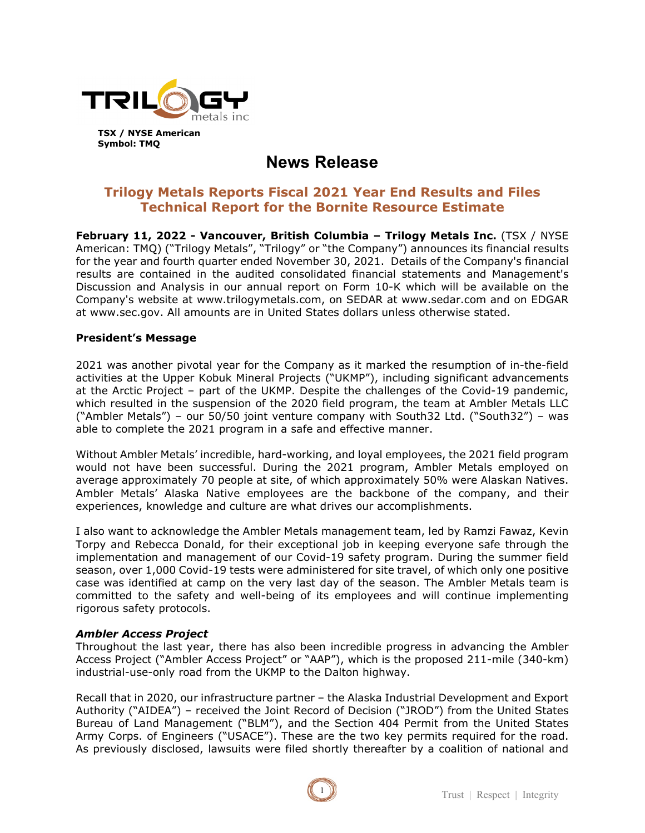

**Symbol: TMQ**

**News Release**

# **Trilogy Metals Reports Fiscal 2021 Year End Results and Files Technical Report for the Bornite Resource Estimate**

**February 11, 2022 - Vancouver, British Columbia – Trilogy Metals Inc.** (TSX / NYSE American: TMQ) ("Trilogy Metals", "Trilogy" or "the Company") announces its financial results for the year and fourth quarter ended November 30, 2021. Details of the Company's financial results are contained in the audited consolidated financial statements and Management's Discussion and Analysis in our annual report on Form 10-K which will be available on the Company's website at www.trilogymetals.com, on SEDAR at www.sedar.com and on EDGAR at www.sec.gov. All amounts are in United States dollars unless otherwise stated.

# **President's Message**

2021 was another pivotal year for the Company as it marked the resumption of in-the-field activities at the Upper Kobuk Mineral Projects ("UKMP"), including significant advancements at the Arctic Project – part of the UKMP. Despite the challenges of the Covid-19 pandemic, which resulted in the suspension of the 2020 field program, the team at Ambler Metals LLC ("Ambler Metals") – our 50/50 joint venture company with South32 Ltd. ("South32") – was able to complete the 2021 program in a safe and effective manner.

Without Ambler Metals' incredible, hard-working, and loyal employees, the 2021 field program would not have been successful. During the 2021 program, Ambler Metals employed on average approximately 70 people at site, of which approximately 50% were Alaskan Natives. Ambler Metals' Alaska Native employees are the backbone of the company, and their experiences, knowledge and culture are what drives our accomplishments.

I also want to acknowledge the Ambler Metals management team, led by Ramzi Fawaz, Kevin Torpy and Rebecca Donald, for their exceptional job in keeping everyone safe through the implementation and management of our Covid-19 safety program. During the summer field season, over 1,000 Covid-19 tests were administered for site travel, of which only one positive case was identified at camp on the very last day of the season. The Ambler Metals team is committed to the safety and well-being of its employees and will continue implementing rigorous safety protocols.

### *Ambler Access Project*

Throughout the last year, there has also been incredible progress in advancing the Ambler Access Project ("Ambler Access Project" or "AAP"), which is the proposed 211-mile (340-km) industrial-use-only road from the UKMP to the Dalton highway.

Recall that in 2020, our infrastructure partner – the Alaska Industrial Development and Export Authority ("AIDEA") – received the Joint Record of Decision ("JROD") from the United States Bureau of Land Management ("BLM"), and the Section 404 Permit from the United States Army Corps. of Engineers ("USACE"). These are the two key permits required for the road. As previously disclosed, lawsuits were filed shortly thereafter by a coalition of national and

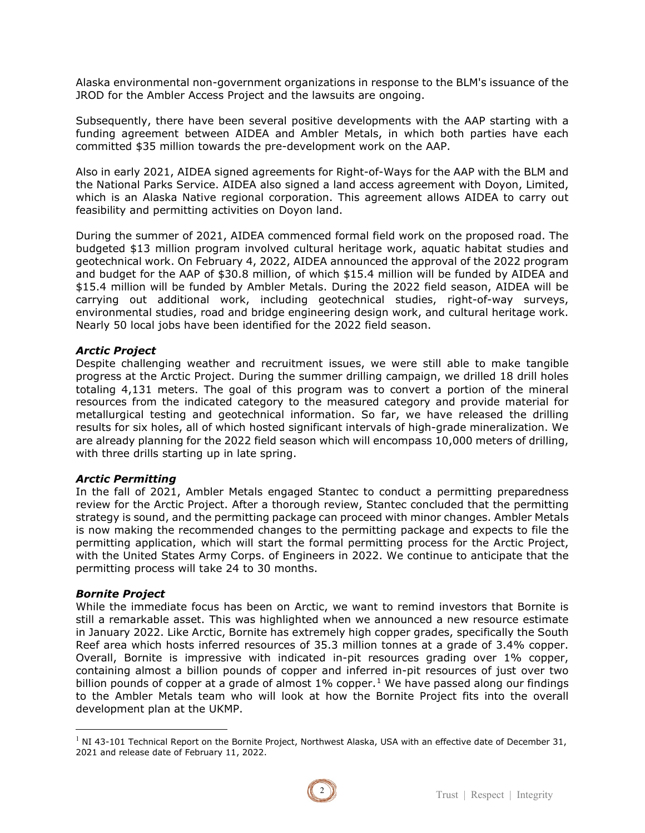Alaska environmental non-government organizations in response to the BLM's issuance of the JROD for the Ambler Access Project and the lawsuits are ongoing.

Subsequently, there have been several positive developments with the AAP starting with a funding agreement between AIDEA and Ambler Metals, in which both parties have each committed \$35 million towards the pre-development work on the AAP.

Also in early 2021, AIDEA signed agreements for Right-of-Ways for the AAP with the BLM and the National Parks Service. AIDEA also signed a land access agreement with Doyon, Limited, which is an Alaska Native regional corporation. This agreement allows AIDEA to carry out feasibility and permitting activities on Doyon land.

During the summer of 2021, AIDEA commenced formal field work on the proposed road. The budgeted \$13 million program involved cultural heritage work, aquatic habitat studies and geotechnical work. On February 4, 2022, AIDEA announced the approval of the 2022 program and budget for the AAP of \$30.8 million, of which \$15.4 million will be funded by AIDEA and \$15.4 million will be funded by Ambler Metals. During the 2022 field season, AIDEA will be carrying out additional work, including geotechnical studies, right-of-way surveys, environmental studies, road and bridge engineering design work, and cultural heritage work. Nearly 50 local jobs have been identified for the 2022 field season.

#### *Arctic Project*

Despite challenging weather and recruitment issues, we were still able to make tangible progress at the Arctic Project. During the summer drilling campaign, we drilled 18 drill holes totaling 4,131 meters. The goal of this program was to convert a portion of the mineral resources from the indicated category to the measured category and provide material for metallurgical testing and geotechnical information. So far, we have released the drilling results for six holes, all of which hosted significant intervals of high-grade mineralization. We are already planning for the 2022 field season which will encompass 10,000 meters of drilling, with three drills starting up in late spring.

#### *Arctic Permitting*

In the fall of 2021, Ambler Metals engaged Stantec to conduct a permitting preparedness review for the Arctic Project. After a thorough review, Stantec concluded that the permitting strategy is sound, and the permitting package can proceed with minor changes. Ambler Metals is now making the recommended changes to the permitting package and expects to file the permitting application, which will start the formal permitting process for the Arctic Project, with the United States Army Corps. of Engineers in 2022. We continue to anticipate that the permitting process will take 24 to 30 months.

#### *Bornite Project*

While the immediate focus has been on Arctic, we want to remind investors that Bornite is still a remarkable asset. This was highlighted when we announced a new resource estimate in January 2022. Like Arctic, Bornite has extremely high copper grades, specifically the South Reef area which hosts inferred resources of 35.3 million tonnes at a grade of 3.4% copper. Overall, Bornite is impressive with indicated in-pit resources grading over 1% copper, containing almost a billion pounds of copper and inferred in-pit resources of just over two billion pounds of copper at a grade of almost  $1\%$  $1\%$  copper.<sup>1</sup> We have passed along our findings to the Ambler Metals team who will look at how the Bornite Project fits into the overall development plan at the UKMP.

<span id="page-1-0"></span> $1$  NI 43-101 Technical Report on the Bornite Project, Northwest Alaska, USA with an effective date of December 31, 2021 and release date of February 11, 2022.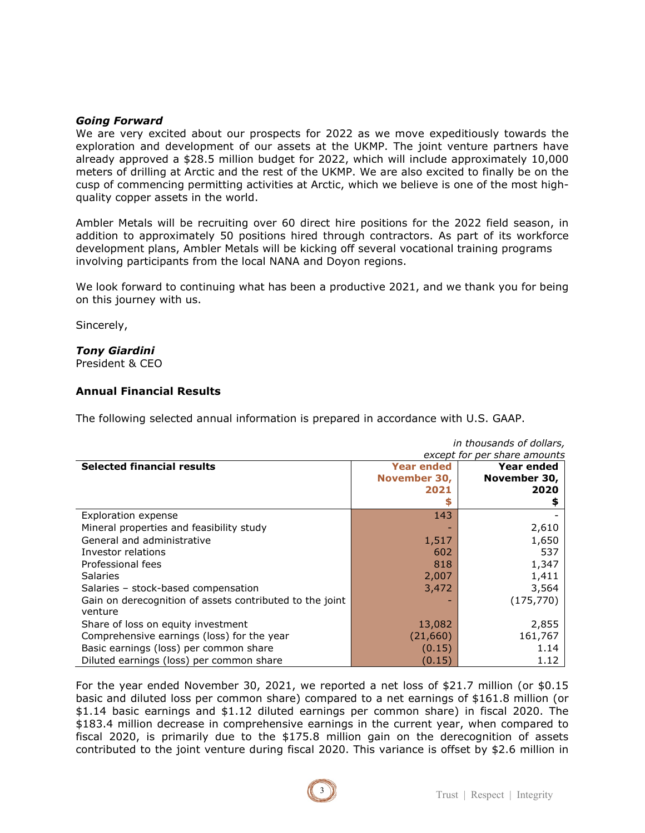#### *Going Forward*

We are very excited about our prospects for 2022 as we move expeditiously towards the exploration and development of our assets at the UKMP. The joint venture partners have already approved a \$28.5 million budget for 2022, which will include approximately 10,000 meters of drilling at Arctic and the rest of the UKMP. We are also excited to finally be on the cusp of commencing permitting activities at Arctic, which we believe is one of the most highquality copper assets in the world.

Ambler Metals will be recruiting over 60 direct hire positions for the 2022 field season, in addition to approximately 50 positions hired through contractors. As part of its workforce development plans, Ambler Metals will be kicking off several vocational training programs involving participants from the local NANA and Doyon regions.

We look forward to continuing what has been a productive 2021, and we thank you for being on this journey with us.

Sincerely,

#### *Tony Giardini*

President & CEO

### **Annual Financial Results**

The following selected annual information is prepared in accordance with U.S. GAAP.

| in thousands of dollars,                                            |                   |              |
|---------------------------------------------------------------------|-------------------|--------------|
| except for per share amounts                                        |                   |              |
| <b>Selected financial results</b>                                   | <b>Year ended</b> | Year ended   |
|                                                                     | November 30,      | November 30, |
|                                                                     | 2021              | 2020         |
|                                                                     |                   |              |
| <b>Exploration expense</b>                                          | 143               |              |
| Mineral properties and feasibility study                            |                   | 2,610        |
| General and administrative                                          | 1,517             | 1,650        |
| Investor relations                                                  | 602               | 537          |
| Professional fees                                                   | 818               | 1,347        |
| <b>Salaries</b>                                                     | 2,007             | 1,411        |
| Salaries - stock-based compensation                                 | 3,472             | 3,564        |
| Gain on derecognition of assets contributed to the joint<br>venture |                   | (175, 770)   |
| Share of loss on equity investment                                  | 13,082            | 2,855        |
| Comprehensive earnings (loss) for the year                          | (21,660)          | 161,767      |
| Basic earnings (loss) per common share                              | (0.15)            | 1.14         |
| Diluted earnings (loss) per common share                            | (0.15)            | 1.12         |

For the year ended November 30, 2021, we reported a net loss of \$21.7 million (or \$0.15 basic and diluted loss per common share) compared to a net earnings of \$161.8 million (or \$1.14 basic earnings and \$1.12 diluted earnings per common share) in fiscal 2020. The \$183.4 million decrease in comprehensive earnings in the current year, when compared to fiscal 2020, is primarily due to the \$175.8 million gain on the derecognition of assets contributed to the joint venture during fiscal 2020. This variance is offset by \$2.6 million in

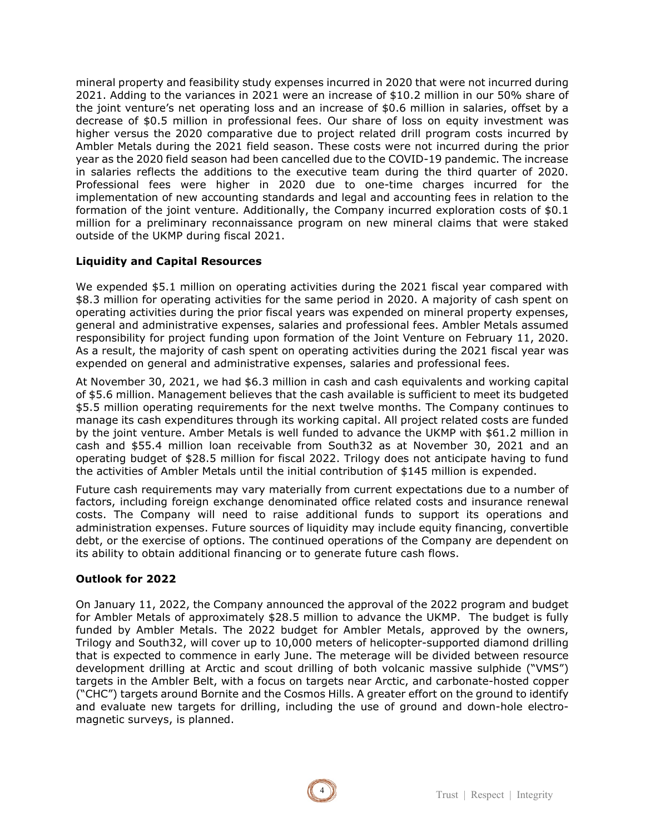mineral property and feasibility study expenses incurred in 2020 that were not incurred during 2021. Adding to the variances in 2021 were an increase of \$10.2 million in our 50% share of the joint venture's net operating loss and an increase of \$0.6 million in salaries, offset by a decrease of \$0.5 million in professional fees. Our share of loss on equity investment was higher versus the 2020 comparative due to project related drill program costs incurred by Ambler Metals during the 2021 field season. These costs were not incurred during the prior year as the 2020 field season had been cancelled due to the COVID-19 pandemic. The increase in salaries reflects the additions to the executive team during the third quarter of 2020. Professional fees were higher in 2020 due to one-time charges incurred for the implementation of new accounting standards and legal and accounting fees in relation to the formation of the joint venture. Additionally, the Company incurred exploration costs of \$0.1 million for a preliminary reconnaissance program on new mineral claims that were staked outside of the UKMP during fiscal 2021.

# **Liquidity and Capital Resources**

We expended \$5.1 million on operating activities during the 2021 fiscal year compared with \$8.3 million for operating activities for the same period in 2020. A majority of cash spent on operating activities during the prior fiscal years was expended on mineral property expenses, general and administrative expenses, salaries and professional fees. Ambler Metals assumed responsibility for project funding upon formation of the Joint Venture on February 11, 2020. As a result, the majority of cash spent on operating activities during the 2021 fiscal year was expended on general and administrative expenses, salaries and professional fees.

At November 30, 2021, we had \$6.3 million in cash and cash equivalents and working capital of \$5.6 million. Management believes that the cash available is sufficient to meet its budgeted \$5.5 million operating requirements for the next twelve months. The Company continues to manage its cash expenditures through its working capital. All project related costs are funded by the joint venture. Amber Metals is well funded to advance the UKMP with \$61.2 million in cash and \$55.4 million loan receivable from South32 as at November 30, 2021 and an operating budget of \$28.5 million for fiscal 2022. Trilogy does not anticipate having to fund the activities of Ambler Metals until the initial contribution of \$145 million is expended.

Future cash requirements may vary materially from current expectations due to a number of factors, including foreign exchange denominated office related costs and insurance renewal costs. The Company will need to raise additional funds to support its operations and administration expenses. Future sources of liquidity may include equity financing, convertible debt, or the exercise of options. The continued operations of the Company are dependent on its ability to obtain additional financing or to generate future cash flows.

### **Outlook for 2022**

On January 11, 2022, the Company announced the approval of the 2022 program and budget for Ambler Metals of approximately \$28.5 million to advance the UKMP. The budget is fully funded by Ambler Metals. The 2022 budget for Ambler Metals, approved by the owners, Trilogy and South32, will cover up to 10,000 meters of helicopter-supported diamond drilling that is expected to commence in early June. The meterage will be divided between resource development drilling at Arctic and scout drilling of both volcanic massive sulphide ("VMS") targets in the Ambler Belt, with a focus on targets near Arctic, and carbonate-hosted copper ("CHC") targets around Bornite and the Cosmos Hills. A greater effort on the ground to identify and evaluate new targets for drilling, including the use of ground and down-hole electromagnetic surveys, is planned.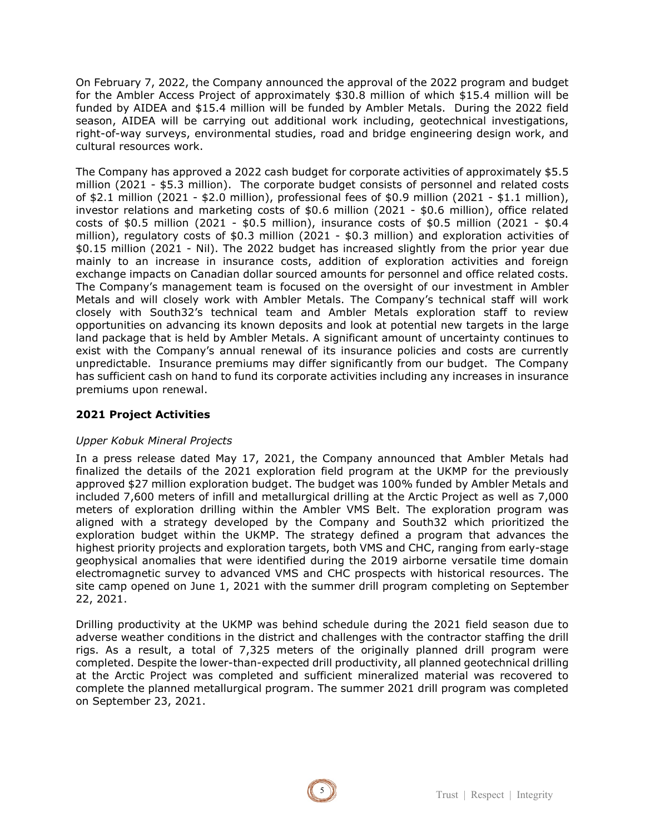On February 7, 2022, the Company announced the approval of the 2022 program and budget for the Ambler Access Project of approximately \$30.8 million of which \$15.4 million will be funded by AIDEA and \$15.4 million will be funded by Ambler Metals. During the 2022 field season, AIDEA will be carrying out additional work including, geotechnical investigations, right-of-way surveys, environmental studies, road and bridge engineering design work, and cultural resources work.

The Company has approved a 2022 cash budget for corporate activities of approximately \$5.5 million (2021 - \$5.3 million). The corporate budget consists of personnel and related costs of \$2.1 million (2021 - \$2.0 million), professional fees of \$0.9 million (2021 - \$1.1 million), investor relations and marketing costs of \$0.6 million (2021 - \$0.6 million), office related costs of \$0.5 million (2021 - \$0.5 million), insurance costs of \$0.5 million (2021 - \$0.4 million), regulatory costs of \$0.3 million (2021 - \$0.3 million) and exploration activities of \$0.15 million (2021 - Nil). The 2022 budget has increased slightly from the prior year due mainly to an increase in insurance costs, addition of exploration activities and foreign exchange impacts on Canadian dollar sourced amounts for personnel and office related costs. The Company's management team is focused on the oversight of our investment in Ambler Metals and will closely work with Ambler Metals. The Company's technical staff will work closely with South32's technical team and Ambler Metals exploration staff to review opportunities on advancing its known deposits and look at potential new targets in the large land package that is held by Ambler Metals. A significant amount of uncertainty continues to exist with the Company's annual renewal of its insurance policies and costs are currently unpredictable. Insurance premiums may differ significantly from our budget. The Company has sufficient cash on hand to fund its corporate activities including any increases in insurance premiums upon renewal.

# **2021 Project Activities**

### *Upper Kobuk Mineral Projects*

In a press release dated May 17, 2021, the Company announced that Ambler Metals had finalized the details of the 2021 exploration field program at the UKMP for the previously approved \$27 million exploration budget. The budget was 100% funded by Ambler Metals and included 7,600 meters of infill and metallurgical drilling at the Arctic Project as well as 7,000 meters of exploration drilling within the Ambler VMS Belt. The exploration program was aligned with a strategy developed by the Company and South32 which prioritized the exploration budget within the UKMP. The strategy defined a program that advances the highest priority projects and exploration targets, both VMS and CHC, ranging from early-stage geophysical anomalies that were identified during the 2019 airborne versatile time domain electromagnetic survey to advanced VMS and CHC prospects with historical resources. The site camp opened on June 1, 2021 with the summer drill program completing on September 22, 2021.

Drilling productivity at the UKMP was behind schedule during the 2021 field season due to adverse weather conditions in the district and challenges with the contractor staffing the drill rigs. As a result, a total of 7,325 meters of the originally planned drill program were completed. Despite the lower-than-expected drill productivity, all planned geotechnical drilling at the Arctic Project was completed and sufficient mineralized material was recovered to complete the planned metallurgical program. The summer 2021 drill program was completed on September 23, 2021.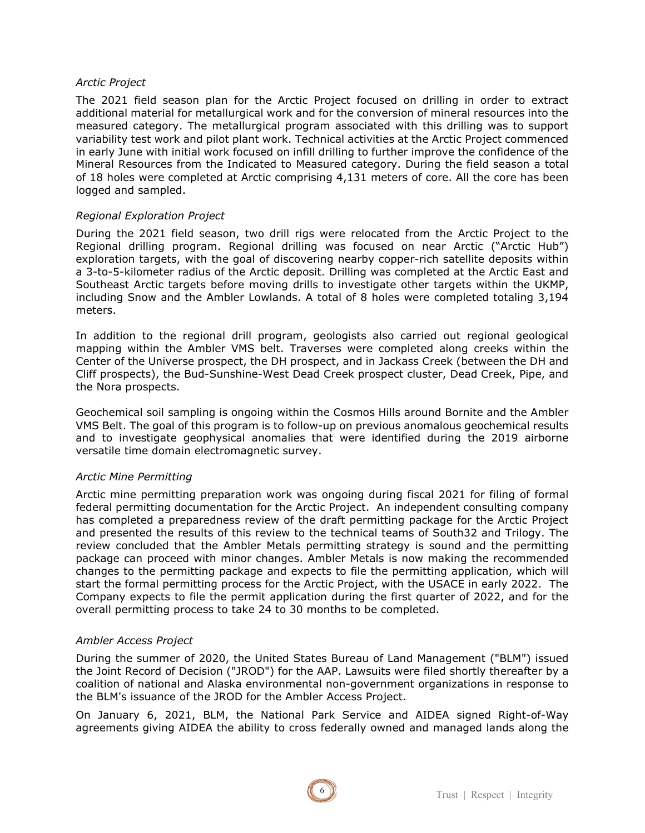#### *Arctic Project*

The 2021 field season plan for the Arctic Project focused on drilling in order to extract additional material for metallurgical work and for the conversion of mineral resources into the measured category. The metallurgical program associated with this drilling was to support variability test work and pilot plant work. Technical activities at the Arctic Project commenced in early June with initial work focused on infill drilling to further improve the confidence of the Mineral Resources from the Indicated to Measured category. During the field season a total of 18 holes were completed at Arctic comprising 4,131 meters of core. All the core has been logged and sampled.

### *Regional Exploration Project*

During the 2021 field season, two drill rigs were relocated from the Arctic Project to the Regional drilling program. Regional drilling was focused on near Arctic ("Arctic Hub") exploration targets, with the goal of discovering nearby copper-rich satellite deposits within a 3-to-5-kilometer radius of the Arctic deposit. Drilling was completed at the Arctic East and Southeast Arctic targets before moving drills to investigate other targets within the UKMP, including Snow and the Ambler Lowlands. A total of 8 holes were completed totaling 3,194 meters.

In addition to the regional drill program, geologists also carried out regional geological mapping within the Ambler VMS belt. Traverses were completed along creeks within the Center of the Universe prospect, the DH prospect, and in Jackass Creek (between the DH and Cliff prospects), the Bud-Sunshine-West Dead Creek prospect cluster, Dead Creek, Pipe, and the Nora prospects.

Geochemical soil sampling is ongoing within the Cosmos Hills around Bornite and the Ambler VMS Belt. The goal of this program is to follow-up on previous anomalous geochemical results and to investigate geophysical anomalies that were identified during the 2019 airborne versatile time domain electromagnetic survey.

#### *Arctic Mine Permitting*

Arctic mine permitting preparation work was ongoing during fiscal 2021 for filing of formal federal permitting documentation for the Arctic Project. An independent consulting company has completed a preparedness review of the draft permitting package for the Arctic Project and presented the results of this review to the technical teams of South32 and Trilogy. The review concluded that the Ambler Metals permitting strategy is sound and the permitting package can proceed with minor changes. Ambler Metals is now making the recommended changes to the permitting package and expects to file the permitting application, which will start the formal permitting process for the Arctic Project, with the USACE in early 2022. The Company expects to file the permit application during the first quarter of 2022, and for the overall permitting process to take 24 to 30 months to be completed.

#### *Ambler Access Project*

During the summer of 2020, the United States Bureau of Land Management ("BLM") issued the Joint Record of Decision ("JROD") for the AAP. Lawsuits were filed shortly thereafter by a coalition of national and Alaska environmental non-government organizations in response to the BLM's issuance of the JROD for the Ambler Access Project.

On January 6, 2021, BLM, the National Park Service and AIDEA signed Right-of-Way agreements giving AIDEA the ability to cross federally owned and managed lands along the

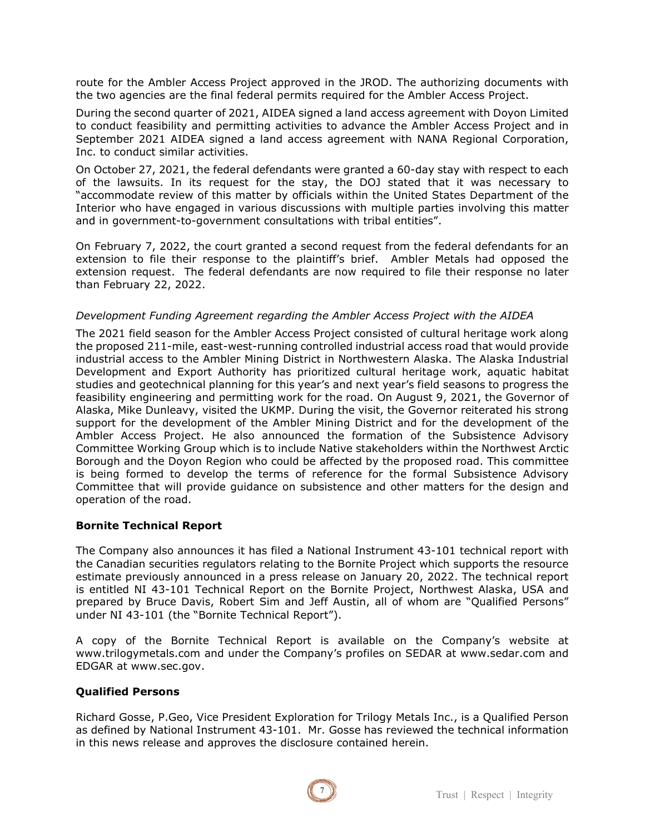route for the Ambler Access Project approved in the JROD. The authorizing documents with the two agencies are the final federal permits required for the Ambler Access Project.

During the second quarter of 2021, AIDEA signed a land access agreement with Doyon Limited to conduct feasibility and permitting activities to advance the Ambler Access Project and in September 2021 AIDEA signed a land access agreement with NANA Regional Corporation, Inc. to conduct similar activities.

On October 27, 2021, the federal defendants were granted a 60-day stay with respect to each of the lawsuits. In its request for the stay, the DOJ stated that it was necessary to "accommodate review of this matter by officials within the United States Department of the Interior who have engaged in various discussions with multiple parties involving this matter and in government-to-government consultations with tribal entities".

On February 7, 2022, the court granted a second request from the federal defendants for an extension to file their response to the plaintiff's brief. Ambler Metals had opposed the extension request. The federal defendants are now required to file their response no later than February 22, 2022.

# *Development Funding Agreement regarding the Ambler Access Project with the AIDEA*

The 2021 field season for the Ambler Access Project consisted of cultural heritage work along the proposed 211-mile, east-west-running controlled industrial access road that would provide industrial access to the Ambler Mining District in Northwestern Alaska. The Alaska Industrial Development and Export Authority has prioritized cultural heritage work, aquatic habitat studies and geotechnical planning for this year's and next year's field seasons to progress the feasibility engineering and permitting work for the road. On August 9, 2021, the Governor of Alaska, Mike Dunleavy, visited the UKMP. During the visit, the Governor reiterated his strong support for the development of the Ambler Mining District and for the development of the Ambler Access Project. He also announced the formation of the Subsistence Advisory Committee Working Group which is to include Native stakeholders within the Northwest Arctic Borough and the Doyon Region who could be affected by the proposed road. This committee is being formed to develop the terms of reference for the formal Subsistence Advisory Committee that will provide guidance on subsistence and other matters for the design and operation of the road.

### **Bornite Technical Report**

The Company also announces it has filed a National Instrument 43-101 technical report with the Canadian securities regulators relating to the Bornite Project which supports the resource estimate previously announced in a press release on January 20, 2022. The technical report is entitled NI 43-101 Technical Report on the Bornite Project, Northwest Alaska, USA and prepared by Bruce Davis, Robert Sim and Jeff Austin, all of whom are "Qualified Persons" under NI 43-101 (the "Bornite Technical Report").

A copy of the Bornite Technical Report is available on the Company's website at www.trilogymetals.com and under the Company's profiles on SEDAR at www.sedar.com and EDGAR at www.sec.gov.

# **Qualified Persons**

Richard Gosse, P.Geo, Vice President Exploration for Trilogy Metals Inc., is a Qualified Person as defined by National Instrument 43-101. Mr. Gosse has reviewed the technical information in this news release and approves the disclosure contained herein.

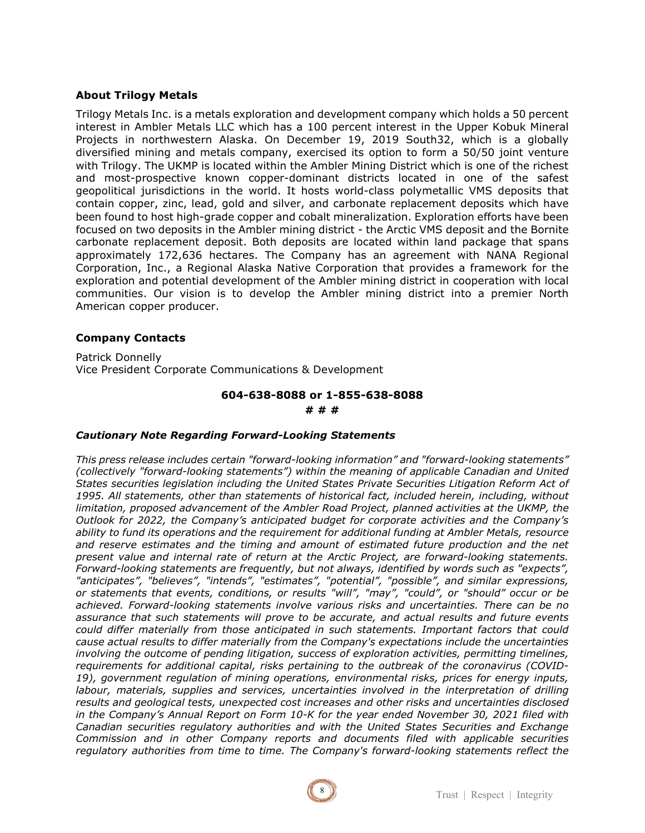#### **About Trilogy Metals**

Trilogy Metals Inc. is a metals exploration and development company which holds a 50 percent interest in Ambler Metals LLC which has a 100 percent interest in the Upper Kobuk Mineral Projects in northwestern Alaska. On December 19, 2019 South32, which is a globally diversified mining and metals company, exercised its option to form a 50/50 joint venture with Trilogy. The UKMP is located within the Ambler Mining District which is one of the richest and most-prospective known copper-dominant districts located in one of the safest geopolitical jurisdictions in the world. It hosts world-class polymetallic VMS deposits that contain copper, zinc, lead, gold and silver, and carbonate replacement deposits which have been found to host high-grade copper and cobalt mineralization. Exploration efforts have been focused on two deposits in the Ambler mining district - the Arctic VMS deposit and the Bornite carbonate replacement deposit. Both deposits are located within land package that spans approximately 172,636 hectares. The Company has an agreement with NANA Regional Corporation, Inc., a Regional Alaska Native Corporation that provides a framework for the exploration and potential development of the Ambler mining district in cooperation with local communities. Our vision is to develop the Ambler mining district into a premier North American copper producer.

#### **Company Contacts**

Patrick Donnelly Vice President Corporate Communications & Development

# **604-638-8088 or 1-855-638-8088 # # #**

#### *Cautionary Note Regarding Forward-Looking Statements*

*This press release includes certain "forward-looking information" and "forward-looking statements" (collectively "forward-looking statements") within the meaning of applicable Canadian and United States securities legislation including the United States Private Securities Litigation Reform Act of 1995. All statements, other than statements of historical fact, included herein, including, without*  limitation, proposed advancement of the Ambler Road Project, planned activities at the UKMP, the *Outlook for 2022, the Company's anticipated budget for corporate activities and the Company's ability to fund its operations and the requirement for additional funding at Ambler Metals, resource and reserve estimates and the timing and amount of estimated future production and the net present value and internal rate of return at the Arctic Project, are forward-looking statements. Forward-looking statements are frequently, but not always, identified by words such as "expects", "anticipates", "believes", "intends", "estimates", "potential", "possible", and similar expressions, or statements that events, conditions, or results "will", "may", "could", or "should" occur or be achieved. Forward-looking statements involve various risks and uncertainties. There can be no assurance that such statements will prove to be accurate, and actual results and future events could differ materially from those anticipated in such statements. Important factors that could cause actual results to differ materially from the Company's expectations include the uncertainties involving the outcome of pending litigation, success of exploration activities, permitting timelines, requirements for additional capital, risks pertaining to the outbreak of the coronavirus (COVID-19), government regulation of mining operations, environmental risks, prices for energy inputs, labour, materials, supplies and services, uncertainties involved in the interpretation of drilling results and geological tests, unexpected cost increases and other risks and uncertainties disclosed in the Company's Annual Report on Form 10-K for the year ended November 30, 2021 filed with Canadian securities regulatory authorities and with the United States Securities and Exchange Commission and in other Company reports and documents filed with applicable securities regulatory authorities from time to time. The Company's forward-looking statements reflect the*